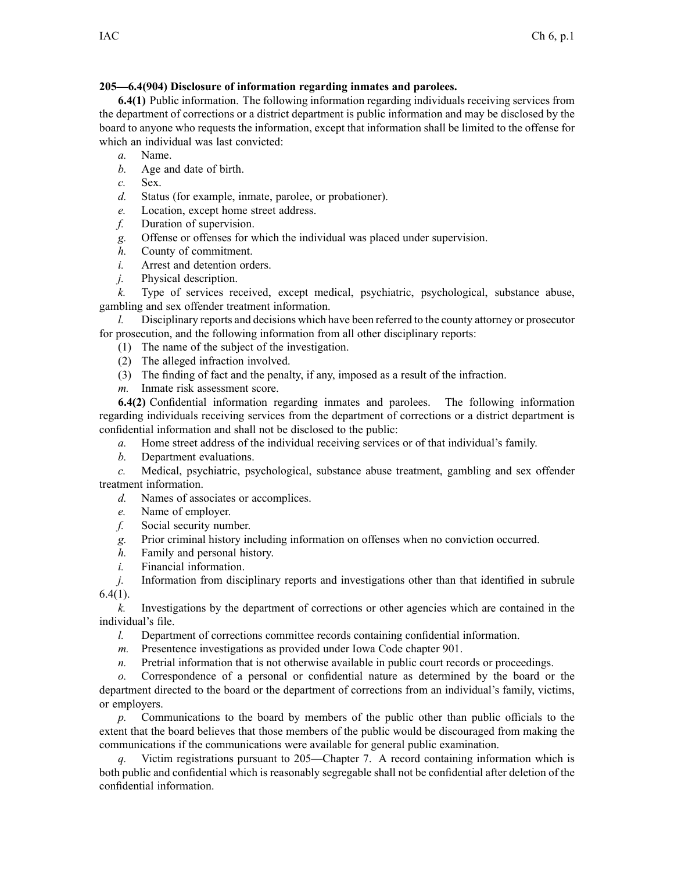## **205—6.4(904) Disclosure of information regarding inmates and parolees.**

**6.4(1)** Public information. The following information regarding individuals receiving services from the department of corrections or <sup>a</sup> district department is public information and may be disclosed by the board to anyone who requests the information, excep<sup>t</sup> that information shall be limited to the offense for which an individual was last convicted:

- *a.* Name.
- *b.* Age and date of birth.
- *c.* Sex.
- *d.* Status (for example, inmate, parolee, or probationer).
- *e.* Location, excep<sup>t</sup> home street address.
- *f.* Duration of supervision.
- *g.* Offense or offenses for which the individual was placed under supervision.
- *h.* County of commitment.
- *i.* Arrest and detention orders.
- *j.* Physical description.

*k.* Type of services received, excep<sup>t</sup> medical, psychiatric, psychological, substance abuse, gambling and sex offender treatment information.

*l.* Disciplinary reports and decisions which have been referred to the county attorney or prosecutor for prosecution, and the following information from all other disciplinary reports:

- (1) The name of the subject of the investigation.
- (2) The alleged infraction involved.
- (3) The finding of fact and the penalty, if any, imposed as <sup>a</sup> result of the infraction.
- *m.* Inmate risk assessment score.

**6.4(2)** Confidential information regarding inmates and parolees. The following information regarding individuals receiving services from the department of corrections or <sup>a</sup> district department is confidential information and shall not be disclosed to the public:

*a.* Home street address of the individual receiving services or of that individual's family.

*b.* Department evaluations.

*c.* Medical, psychiatric, psychological, substance abuse treatment, gambling and sex offender treatment information.

- *d.* Names of associates or accomplices.
- *e.* Name of employer.
- *f.* Social security number.
- *g.* Prior criminal history including information on offenses when no conviction occurred.
- *h.* Family and personal history.
- *i.* Financial information.

*j.* Information from disciplinary reports and investigations other than that identified in subrule  $6.4(1)$ .

*k.* Investigations by the department of corrections or other agencies which are contained in the individual's file.

*l.* Department of corrections committee records containing confidential information.

- *m.* Presentence investigations as provided under Iowa Code chapter 901.
- *n.* Pretrial information that is not otherwise available in public court records or proceedings.

*o.* Correspondence of <sup>a</sup> personal or confidential nature as determined by the board or the department directed to the board or the department of corrections from an individual's family, victims, or employers.

*p.* Communications to the board by members of the public other than public officials to the extent that the board believes that those members of the public would be discouraged from making the communications if the communications were available for general public examination.

*q.* Victim registrations pursuan<sup>t</sup> to 205—Chapter 7. A record containing information which is both public and confidential which is reasonably segregable shall not be confidential after deletion of the confidential information.